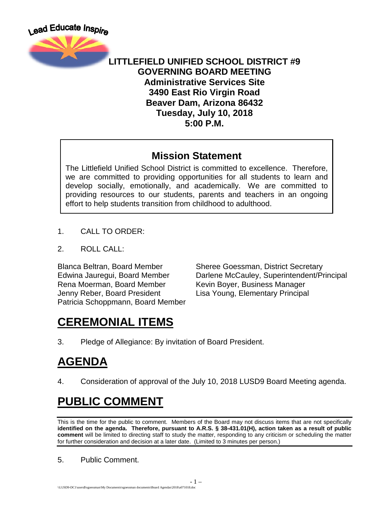

#### **LITTLEFIELD UNIFIED SCHOOL DISTRICT #9 GOVERNING BOARD MEETING Administrative Services Site 3490 East Rio Virgin Road Beaver Dam, Arizona 86432 Tuesday, July 10, 2018 5:00 P.M.**

#### **Mission Statement**

The Littlefield Unified School District is committed to excellence. Therefore, we are committed to providing opportunities for all students to learn and develop socially, emotionally, and academically. We are committed to providing resources to our students, parents and teachers in an ongoing effort to help students transition from childhood to adulthood.

- 1. CALL TO ORDER:
- 2. ROLL CALL:

Rena Moerman, Board Member Kevin Boyer, Business Manager Jenny Reber, Board President Lisa Young, Elementary Principal Patricia Schoppmann, Board Member

Blanca Beltran, Board Member Sheree Goessman, District Secretary Edwina Jauregui, Board Member Darlene McCauley, Superintendent/Principal

# **CEREMONIAL ITEMS**

3. Pledge of Allegiance: By invitation of Board President.

## **AGENDA**

4. Consideration of approval of the July 10, 2018 LUSD9 Board Meeting agenda.

# **PUBLIC COMMENT**

This is the time for the public to comment. Members of the Board may not discuss items that are not specifically **identified on the agenda. Therefore, pursuant to A.R.S. § 38-431.01(H), action taken as a result of public comment** will be limited to directing staff to study the matter, responding to any criticism or scheduling the matter for further consideration and decision at a later date. (Limited to 3 minutes per person.)

5. Public Comment.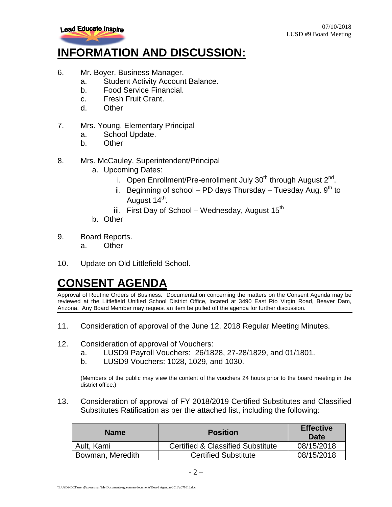

## **INFORMATION AND DISCUSSION:**

- 6. Mr. Boyer, Business Manager.
	- a. Student Activity Account Balance.
	- b. Food Service Financial.
	- c. Fresh Fruit Grant.
	- d. Other
- 7. Mrs. Young, Elementary Principal
	- a. School Update.
	- b. Other
- 8. Mrs. McCauley, Superintendent/Principal
	- a. Upcoming Dates:
		- i. Open Enrollment/Pre-enrollment July  $30<sup>th</sup>$  through August  $2<sup>nd</sup>$ .
		- ii. Beginning of school PD days Thursday Tuesday Aug.  $9<sup>th</sup>$  to August 14<sup>th</sup>.
		- iii. First Day of School Wednesday, August  $15<sup>th</sup>$
	- b. Other
- 9. Board Reports.
	- a. Other
- 10. Update on Old Littlefield School.

## **CONSENT AGENDA**

Approval of Routine Orders of Business. Documentation concerning the matters on the Consent Agenda may be reviewed at the Littlefield Unified School District Office, located at 3490 East Rio Virgin Road, Beaver Dam, Arizona. Any Board Member may request an item be pulled off the agenda for further discussion.

- 11. Consideration of approval of the June 12, 2018 Regular Meeting Minutes.
- 12. Consideration of approval of Vouchers:
	- a. LUSD9 Payroll Vouchers: 26/1828, 27-28/1829, and 01/1801.
	- b. LUSD9 Vouchers: 1028, 1029, and 1030.

(Members of the public may view the content of the vouchers 24 hours prior to the board meeting in the district office.)

13. Consideration of approval of FY 2018/2019 Certified Substitutes and Classified Substitutes Ratification as per the attached list, including the following:

| <b>Name</b>      | <b>Position</b>                              | <b>Effective</b><br>Date |
|------------------|----------------------------------------------|--------------------------|
| Ault, Kami       | <b>Certified &amp; Classified Substitute</b> | 08/15/2018               |
| Bowman, Meredith | <b>Certified Substitute</b>                  | 08/15/2018               |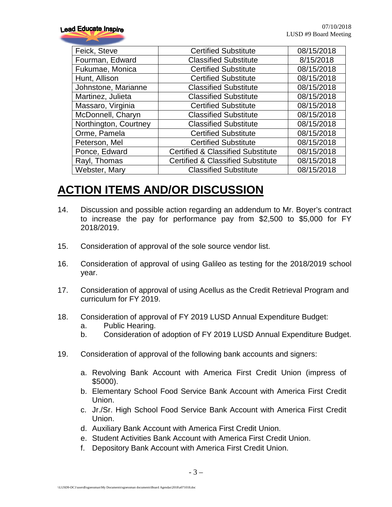| Feick, Steve          | <b>Certified Substitute</b>                  | 08/15/2018 |
|-----------------------|----------------------------------------------|------------|
| Fourman, Edward       | <b>Classified Substitute</b>                 | 8/15/2018  |
| Fukumae, Monica       | <b>Certified Substitute</b>                  | 08/15/2018 |
| Hunt, Allison         | <b>Certified Substitute</b>                  | 08/15/2018 |
| Johnstone, Marianne   | <b>Classified Substitute</b>                 | 08/15/2018 |
| Martinez, Julieta     | <b>Classified Substitute</b>                 | 08/15/2018 |
| Massaro, Virginia     | <b>Certified Substitute</b>                  | 08/15/2018 |
| McDonnell, Charyn     | <b>Classified Substitute</b>                 | 08/15/2018 |
| Northington, Courtney | <b>Classified Substitute</b>                 | 08/15/2018 |
| Orme, Pamela          | <b>Certified Substitute</b>                  | 08/15/2018 |
| Peterson, Mel         | <b>Certified Substitute</b>                  | 08/15/2018 |
| Ponce, Edward         | <b>Certified &amp; Classified Substitute</b> | 08/15/2018 |
| Rayl, Thomas          | <b>Certified &amp; Classified Substitute</b> | 08/15/2018 |
| Webster, Mary         | <b>Classified Substitute</b>                 | 08/15/2018 |

## **ACTION ITEMS AND/OR DISCUSSION**

- 14. Discussion and possible action regarding an addendum to Mr. Boyer's contract to increase the pay for performance pay from \$2,500 to \$5,000 for FY 2018/2019.
- 15. Consideration of approval of the sole source vendor list.
- 16. Consideration of approval of using Galileo as testing for the 2018/2019 school year.
- 17. Consideration of approval of using Acellus as the Credit Retrieval Program and curriculum for FY 2019.
- 18. Consideration of approval of FY 2019 LUSD Annual Expenditure Budget:
	- a. Public Hearing.
	- b. Consideration of adoption of FY 2019 LUSD Annual Expenditure Budget.
- 19. Consideration of approval of the following bank accounts and signers:
	- a. Revolving Bank Account with America First Credit Union (impress of \$5000).
	- b. Elementary School Food Service Bank Account with America First Credit Union.
	- c. Jr./Sr. High School Food Service Bank Account with America First Credit Union.
	- d. Auxiliary Bank Account with America First Credit Union.
	- e. Student Activities Bank Account with America First Credit Union.
	- f. Depository Bank Account with America First Credit Union.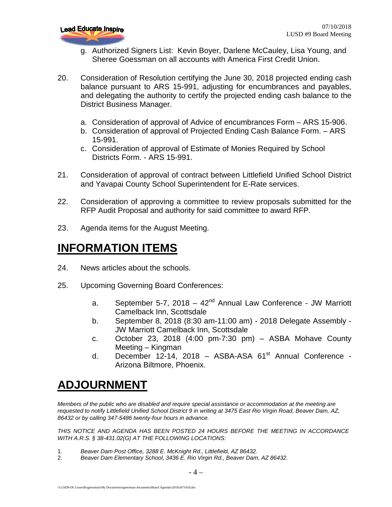

- g. Authorized Signers List: Kevin Boyer, Darlene McCauley, Lisa Young, and Sheree Goessman on all accounts with America First Credit Union.
- 20. Consideration of Resolution certifying the June 30, 2018 projected ending cash balance pursuant to ARS 15-991, adjusting for encumbrances and payables, and delegating the authority to certify the projected ending cash balance to the District Business Manager.
	- a. Consideration of approval of Advice of encumbrances Form ARS 15-906.
	- b. Consideration of approval of Projected Ending Cash Balance Form. ARS 15-991.
	- c. Consideration of approval of Estimate of Monies Required by School Districts Form. - ARS 15-991.
- 21. Consideration of approval of contract between Littlefield Unified School District and Yavapai County School Superintendent for E-Rate services.
- 22. Consideration of approving a committee to review proposals submitted for the RFP Audit Proposal and authority for said committee to award RFP.
- 23. Agenda items for the August Meeting.

#### **INFORMATION ITEMS**

- 24. News articles about the schools.
- 25. Upcoming Governing Board Conferences:
	- a. September 5-7, 2018  $42<sup>nd</sup>$  Annual Law Conference JW Marriott Camelback Inn, Scottsdale
	- b. September 8, 2018 (8:30 am-11:00 am) 2018 Delegate Assembly JW Marriott Camelback Inn, Scottsdale
	- c. October 23, 2018 (4:00 pm-7:30 pm) ASBA Mohave County Meeting – Kingman
	- d. December 12-14, 2018 ASBA-ASA  $61<sup>st</sup>$  Annual Conference -Arizona Biltmore, Phoenix.

## **ADJOURNMENT**

*Members of the public who are disabled and require special assistance or accommodation at the meeting are requested to notify Littlefield Unified School District 9 in writing at 3475 East Rio Virgin Road, Beaver Dam, AZ, 86432 or by calling 347-5486 twenty-four hours in advance.* 

*THIS NOTICE AND AGENDA HAS BEEN POSTED 24 HOURS BEFORE THE MEETING IN ACCORDANCE WITH A.R.S. § 38-431.02(G) AT THE FOLLOWING LOCATIONS:* 

- 1. *Beaver Dam Post Office, 3288 E. McKnight Rd., Littlefield, AZ 86432.*
- 2. *Beaver Dam Elementary School, 3436 E. Rio Virgin Rd., Beaver Dam, AZ 86432.*